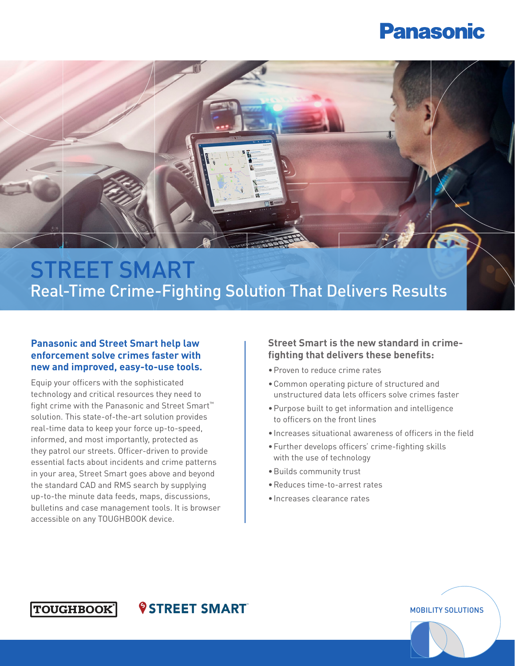

## STREET SMART Real-Time Crime-Fighting Solution That Delivers Results

#### **Panasonic and Street Smart help law enforcement solve crimes faster with new and improved, easy-to-use tools.**

Equip your officers with the sophisticated technology and critical resources they need to fight crime with the Panasonic and Street Smart™ solution. This state-of-the-art solution provides real-time data to keep your force up-to-speed, informed, and most importantly, protected as they patrol our streets. Officer-driven to provide essential facts about incidents and crime patterns in your area, Street Smart goes above and beyond the standard CAD and RMS search by supplying up-to-the minute data feeds, maps, discussions, bulletins and case management tools. It is browser accessible on any TOUGHBOOK device.

*<u>©STREET SMART</u>* 

#### **Street Smart is the new standard in crimefighting that delivers these benefits:**

- •Proven to reduce crime rates
- •Common operating picture of structured and unstructured data lets officers solve crimes faster
- •Purpose built to get information and intelligence to officers on the front lines
- •Increases situational awareness of officers in the field

- •Further develops officers' crime-fighting skills with the use of technology
- •Builds community trust
- •Reduces time-to-arrest rates
- •Increases clearance rates

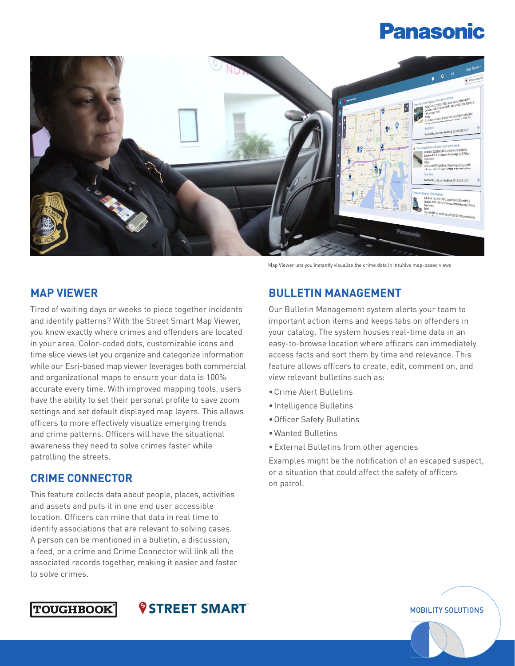

### **MAP VIEWER**

Tired of waiting days or weeks to piece together incidents and identify patterns? With the Street Smart Map Viewer, you know exactly where crimes and offenders are located in your area. Color-coded dots, customizable icons and time slice views let you organize and categorize information while our Esri-based map viewer leverages both commercial and organizational maps to ensure your data is 100% accurate every time. With improved mapping tools, users have the ability to set their personal profile to save zoom settings and set default displayed map layers. This allows officers to more effectively visualize emerging trends and crime patterns. Officers will have the situational awareness they need to solve crimes faster while patrolling the streets.

### **CRIME CONNECTOR**

This feature collects data about people, places, activities and assets and puts it in one end user accessible location. Officers can mine that data in real time to identify associations that are relevant to solving cases. A person can be mentioned in a bulletin, a discussion, a feed, or a crime and Crime Connector will link all the associated records together, making it easier and faster to solve crimes.

Map Viewer lets you instantly visualize the crime data in intuitive map-based views

### **BULLETIN MANAGEMENT**

Our Bulletin Management system alerts your team to important action items and keeps tabs on offenders in your catalog. The system houses real-time data in an easy-to-browse location where officers can immediately access facts and sort them by time and relevance. This feature allows officers to create, edit, comment on, and view relevant bulletins such as:

- •Crime Alert Bulletins
- •Intelligence Bulletins
- •Officer Safety Bulletins
- •Wanted Bulletins
- •External Bulletins from other agencies

Examples might be the notification of an escaped suspect, or a situation that could affect the safety of officers on patrol.



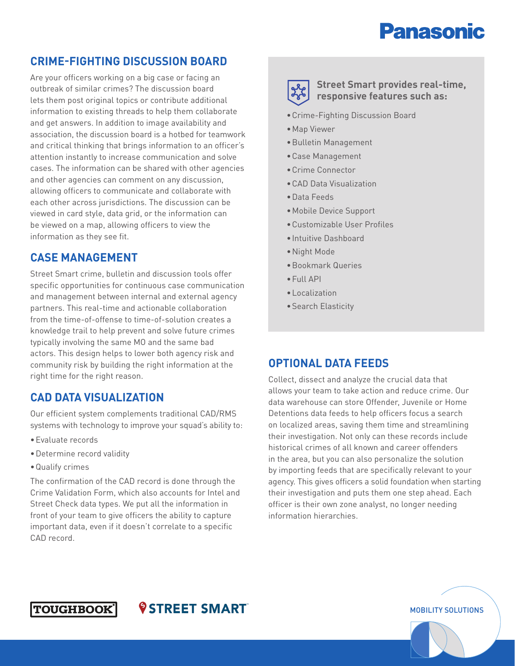### **CRIME-FIGHTING DISCUSSION BOARD**

Are your officers working on a big case or facing an outbreak of similar crimes? The discussion board lets them post original topics or contribute additional information to existing threads to help them collaborate and get answers. In addition to image availability and association, the discussion board is a hotbed for teamwork and critical thinking that brings information to an officer's attention instantly to increase communication and solve cases. The information can be shared with other agencies and other agencies can comment on any discussion, allowing officers to communicate and collaborate with each other across jurisdictions. The discussion can be viewed in card style, data grid, or the information can be viewed on a map, allowing officers to view the information as they see fit.

#### **CASE MANAGEMENT**

Street Smart crime, bulletin and discussion tools offer specific opportunities for continuous case communication and management between internal and external agency partners. This real-time and actionable collaboration from the time-of-offense to time-of-solution creates a knowledge trail to help prevent and solve future crimes typically involving the same MO and the same bad actors. This design helps to lower both agency risk and community risk by building the right information at the right time for the right reason.

#### **CAD DATA VISUALIZATION**

Our efficient system complements traditional CAD/RMS systems with technology to improve your squad's ability to:

- •Evaluate records
- •Determine record validity
- •Qualify crimes

The confirmation of the CAD record is done through the Crime Validation Form, which also accounts for Intel and Street Check data types. We put all the information in front of your team to give officers the ability to capture important data, even if it doesn't correlate to a specific CAD record.

*<u>OSTREET SMART</u>* 



**Street Smart provides real-time, responsive features such as:**

- •Crime-Fighting Discussion Board
- •Map Viewer
- •Bulletin Management
- •Case Management
- •Crime Connector
- •CAD Data Visualization
- •Data Feeds
- •Mobile Device Support
- •Customizable User Profiles
- •Intuitive Dashboard
- •Night Mode
- •Bookmark Queries
- •Full API
- •Localization
- •Search Elasticity

#### **OPTIONAL DATA FEEDS**

Collect, dissect and analyze the crucial data that allows your team to take action and reduce crime. Our data warehouse can store Offender, Juvenile or Home Detentions data feeds to help officers focus a search on localized areas, saving them time and streamlining their investigation. Not only can these records include historical crimes of all known and career offenders in the area, but you can also personalize the solution by importing feeds that are specifically relevant to your agency. This gives officers a solid foundation when starting their investigation and puts them one step ahead. Each officer is their own zone analyst, no longer needing information hierarchies.